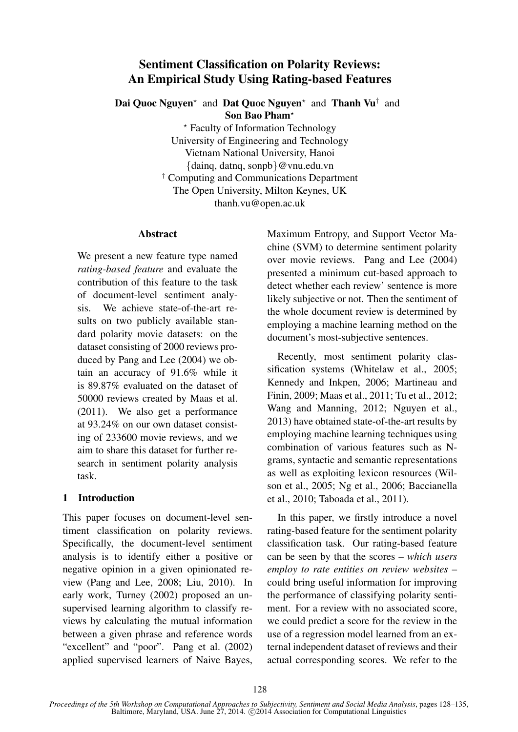# Sentiment Classification on Polarity Reviews: An Empirical Study Using Rating-based Features

Dai Quoc Nguyen<sup>\*</sup> and Dat Quoc Nguyen<sup>\*</sup> and Thanh Vu<sup>†</sup> and Son Bao Pham?

> ? Faculty of Information Technology University of Engineering and Technology Vietnam National University, Hanoi {dainq, datnq, sonpb}@vnu.edu.vn † Computing and Communications Department The Open University, Milton Keynes, UK thanh.vu@open.ac.uk

### Abstract

We present a new feature type named *rating-based feature* and evaluate the contribution of this feature to the task of document-level sentiment analysis. We achieve state-of-the-art results on two publicly available standard polarity movie datasets: on the dataset consisting of 2000 reviews produced by Pang and Lee (2004) we obtain an accuracy of 91.6% while it is 89.87% evaluated on the dataset of 50000 reviews created by Maas et al. (2011). We also get a performance at 93.24% on our own dataset consisting of 233600 movie reviews, and we aim to share this dataset for further research in sentiment polarity analysis task.

## 1 Introduction

This paper focuses on document-level sentiment classification on polarity reviews. Specifically, the document-level sentiment analysis is to identify either a positive or negative opinion in a given opinionated review (Pang and Lee, 2008; Liu, 2010). In early work, Turney (2002) proposed an unsupervised learning algorithm to classify reviews by calculating the mutual information between a given phrase and reference words "excellent" and "poor". Pang et al. (2002) applied supervised learners of Naive Bayes,

Maximum Entropy, and Support Vector Machine (SVM) to determine sentiment polarity over movie reviews. Pang and Lee (2004) presented a minimum cut-based approach to detect whether each review' sentence is more likely subjective or not. Then the sentiment of the whole document review is determined by employing a machine learning method on the document's most-subjective sentences.

Recently, most sentiment polarity classification systems (Whitelaw et al., 2005; Kennedy and Inkpen, 2006; Martineau and Finin, 2009; Maas et al., 2011; Tu et al., 2012; Wang and Manning, 2012; Nguyen et al., 2013) have obtained state-of-the-art results by employing machine learning techniques using combination of various features such as Ngrams, syntactic and semantic representations as well as exploiting lexicon resources (Wilson et al., 2005; Ng et al., 2006; Baccianella et al., 2010; Taboada et al., 2011).

In this paper, we firstly introduce a novel rating-based feature for the sentiment polarity classification task. Our rating-based feature can be seen by that the scores – *which users employ to rate entities on review websites* – could bring useful information for improving the performance of classifying polarity sentiment. For a review with no associated score, we could predict a score for the review in the use of a regression model learned from an external independent dataset of reviews and their actual corresponding scores. We refer to the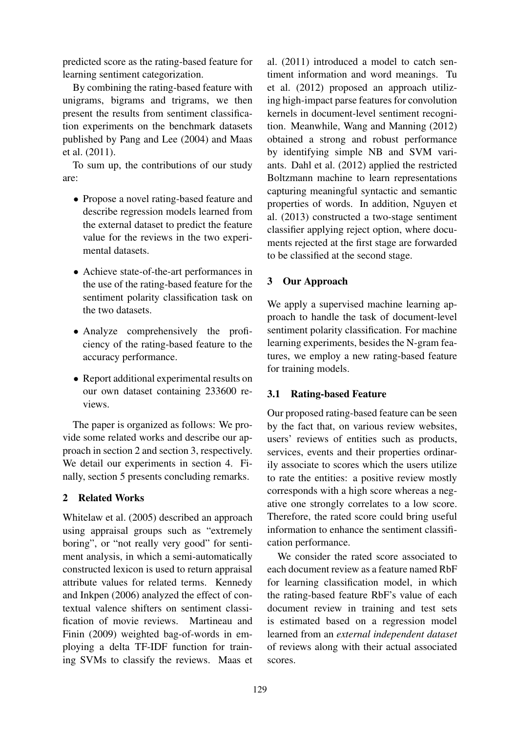predicted score as the rating-based feature for learning sentiment categorization.

By combining the rating-based feature with unigrams, bigrams and trigrams, we then present the results from sentiment classification experiments on the benchmark datasets published by Pang and Lee (2004) and Maas et al. (2011).

To sum up, the contributions of our study are:

- Propose a novel rating-based feature and describe regression models learned from the external dataset to predict the feature value for the reviews in the two experimental datasets.
- Achieve state-of-the-art performances in the use of the rating-based feature for the sentiment polarity classification task on the two datasets.
- Analyze comprehensively the proficiency of the rating-based feature to the accuracy performance.
- Report additional experimental results on our own dataset containing 233600 reviews.

The paper is organized as follows: We provide some related works and describe our approach in section 2 and section 3, respectively. We detail our experiments in section 4. Finally, section 5 presents concluding remarks.

## 2 Related Works

Whitelaw et al. (2005) described an approach using appraisal groups such as "extremely boring", or "not really very good" for sentiment analysis, in which a semi-automatically constructed lexicon is used to return appraisal attribute values for related terms. Kennedy and Inkpen (2006) analyzed the effect of contextual valence shifters on sentiment classification of movie reviews. Martineau and Finin (2009) weighted bag-of-words in employing a delta TF-IDF function for training SVMs to classify the reviews. Maas et al. (2011) introduced a model to catch sentiment information and word meanings. Tu et al. (2012) proposed an approach utilizing high-impact parse features for convolution kernels in document-level sentiment recognition. Meanwhile, Wang and Manning (2012) obtained a strong and robust performance by identifying simple NB and SVM variants. Dahl et al. (2012) applied the restricted Boltzmann machine to learn representations capturing meaningful syntactic and semantic properties of words. In addition, Nguyen et al. (2013) constructed a two-stage sentiment classifier applying reject option, where documents rejected at the first stage are forwarded to be classified at the second stage.

# 3 Our Approach

We apply a supervised machine learning approach to handle the task of document-level sentiment polarity classification. For machine learning experiments, besides the N-gram features, we employ a new rating-based feature for training models.

## 3.1 Rating-based Feature

Our proposed rating-based feature can be seen by the fact that, on various review websites, users' reviews of entities such as products, services, events and their properties ordinarily associate to scores which the users utilize to rate the entities: a positive review mostly corresponds with a high score whereas a negative one strongly correlates to a low score. Therefore, the rated score could bring useful information to enhance the sentiment classification performance.

We consider the rated score associated to each document review as a feature named RbF for learning classification model, in which the rating-based feature RbF's value of each document review in training and test sets is estimated based on a regression model learned from an *external independent dataset* of reviews along with their actual associated scores.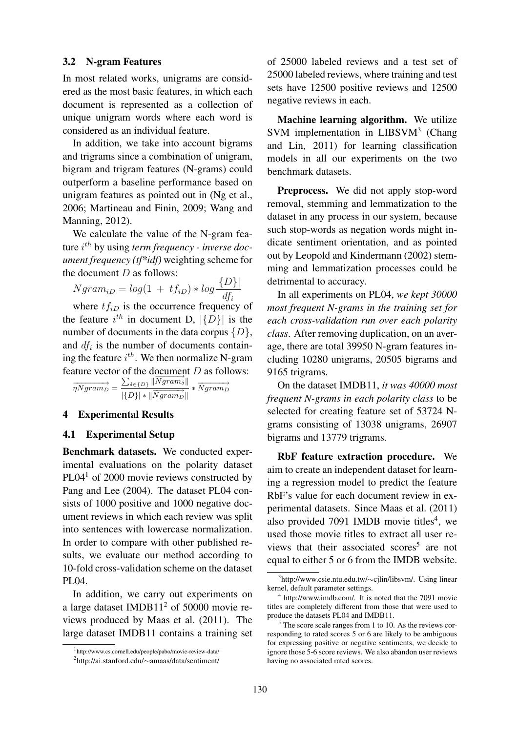### 3.2 N-gram Features

In most related works, unigrams are considered as the most basic features, in which each document is represented as a collection of unique unigram words where each word is considered as an individual feature.

In addition, we take into account bigrams and trigrams since a combination of unigram, bigram and trigram features (N-grams) could outperform a baseline performance based on unigram features as pointed out in (Ng et al., 2006; Martineau and Finin, 2009; Wang and Manning, 2012).

We calculate the value of the N-gram feature i th by using *term frequency - inverse document frequency (tf\*idf)* weighting scheme for the document  $D$  as follows:

$$
Ngram_{iD} = log(1 + tf_{iD}) * log \frac{|\{D\}|}{df_i}
$$

where  $tf_{iD}$  is the occurrence frequency of the feature  $i^{th}$  in document D,  $|\{D\}|$  is the number of documents in the data corpus  $\{D\},\$ and  $df_i$  is the number of documents containing the feature  $i^{th}$ . We then normalize N-gram feature vector of the document D as follows:<br>  $\longrightarrow \sum_{\delta \in \{D\}} ||\overrightarrow{Ngram_{\delta}}|| \longrightarrow$ 

$$
\overrightarrow{\eta Ngram_D} = \frac{\sum_{\delta \in \{D\}} ||Ngram_{\delta}||}{|\{D\}| * ||\overrightarrow{Ngram_D}||} * \overrightarrow{Ngram_D}
$$

### 4 Experimental Results

#### 4.1 Experimental Setup

Benchmark datasets. We conducted experimental evaluations on the polarity dataset PL04<sup>1</sup> of 2000 movie reviews constructed by Pang and Lee (2004). The dataset PL04 consists of 1000 positive and 1000 negative document reviews in which each review was split into sentences with lowercase normalization. In order to compare with other published results, we evaluate our method according to 10-fold cross-validation scheme on the dataset PL04.

In addition, we carry out experiments on a large dataset IMDB11<sup>2</sup> of 50000 movie reviews produced by Maas et al. (2011). The large dataset IMDB11 contains a training set of 25000 labeled reviews and a test set of 25000 labeled reviews, where training and test sets have 12500 positive reviews and 12500 negative reviews in each.

Machine learning algorithm. We utilize SVM implementation in LIBSVM<sup>3</sup> (Chang and Lin, 2011) for learning classification models in all our experiments on the two benchmark datasets.

Preprocess. We did not apply stop-word removal, stemming and lemmatization to the dataset in any process in our system, because such stop-words as negation words might indicate sentiment orientation, and as pointed out by Leopold and Kindermann (2002) stemming and lemmatization processes could be detrimental to accuracy.

In all experiments on PL04, *we kept 30000 most frequent N-grams in the training set for each cross-validation run over each polarity class*. After removing duplication, on an average, there are total 39950 N-gram features including 10280 unigrams, 20505 bigrams and 9165 trigrams.

On the dataset IMDB11, *it was 40000 most frequent N-grams in each polarity class* to be selected for creating feature set of 53724 Ngrams consisting of 13038 unigrams, 26907 bigrams and 13779 trigrams.

RbF feature extraction procedure. We aim to create an independent dataset for learning a regression model to predict the feature RbF's value for each document review in experimental datasets. Since Maas et al. (2011) also provided 7091 IMDB movie titles<sup>4</sup>, we used those movie titles to extract all user reviews that their associated scores<sup>5</sup> are not equal to either 5 or 6 from the IMDB website.

<sup>1</sup> http://www.cs.cornell.edu/people/pabo/movie-review-data/

<sup>2</sup> http://ai.stanford.edu/∼amaas/data/sentiment/

<sup>3</sup> http://www.csie.ntu.edu.tw/∼cjlin/libsvm/. Using linear kernel, default parameter settings.

<sup>&</sup>lt;sup>4</sup> http://www.imdb.com/. It is noted that the 7091 movie titles are completely different from those that were used to produce the datasets PL04 and IMDB11.

 $<sup>5</sup>$  The score scale ranges from 1 to 10. As the reviews cor-</sup> responding to rated scores 5 or 6 are likely to be ambiguous for expressing positive or negative sentiments, we decide to ignore those 5-6 score reviews. We also abandon user reviews having no associated rated scores.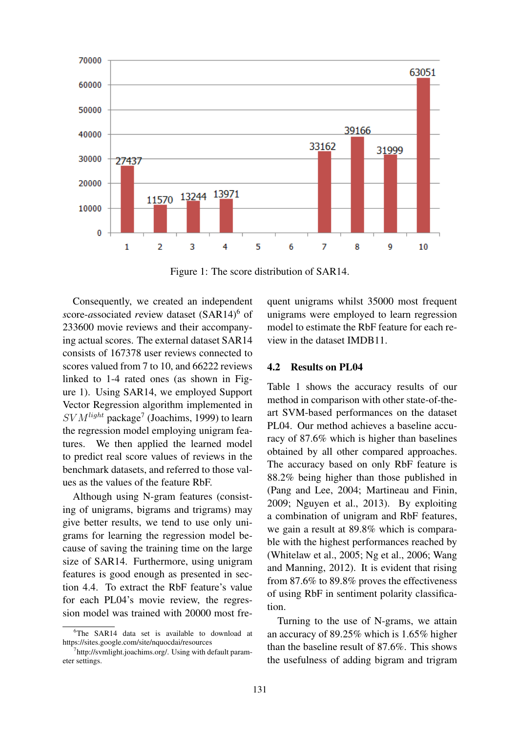

Figure 1: The score distribution of SAR14.

Consequently, we created an independent *score-associated review dataset (SAR14)<sup>6</sup> of* 233600 movie reviews and their accompanying actual scores. The external dataset SAR14 consists of 167378 user reviews connected to scores valued from 7 to 10, and 66222 reviews linked to 1-4 rated ones (as shown in Figure 1). Using SAR14, we employed Support Vector Regression algorithm implemented in  $SVM<sup>light</sup>$  package<sup>7</sup> (Joachims, 1999) to learn the regression model employing unigram features. We then applied the learned model to predict real score values of reviews in the benchmark datasets, and referred to those values as the values of the feature RbF.

Although using N-gram features (consisting of unigrams, bigrams and trigrams) may give better results, we tend to use only unigrams for learning the regression model because of saving the training time on the large size of SAR14. Furthermore, using unigram features is good enough as presented in section 4.4. To extract the RbF feature's value for each PL04's movie review, the regression model was trained with 20000 most fre-

<sup>6</sup>The SAR14 data set is available to download at https://sites.google.com/site/nquocdai/resources

quent unigrams whilst 35000 most frequent unigrams were employed to learn regression model to estimate the RbF feature for each review in the dataset IMDB11.

### 4.2 Results on PL04

Table 1 shows the accuracy results of our method in comparison with other state-of-theart SVM-based performances on the dataset PL04. Our method achieves a baseline accuracy of 87.6% which is higher than baselines obtained by all other compared approaches. The accuracy based on only RbF feature is 88.2% being higher than those published in (Pang and Lee, 2004; Martineau and Finin, 2009; Nguyen et al., 2013). By exploiting a combination of unigram and RbF features, we gain a result at 89.8% which is comparable with the highest performances reached by (Whitelaw et al., 2005; Ng et al., 2006; Wang and Manning, 2012). It is evident that rising from 87.6% to 89.8% proves the effectiveness of using RbF in sentiment polarity classification.

Turning to the use of N-grams, we attain an accuracy of 89.25% which is 1.65% higher than the baseline result of 87.6%. This shows the usefulness of adding bigram and trigram

<sup>&</sup>lt;sup>7</sup>http://svmlight.joachims.org/. Using with default parameter settings.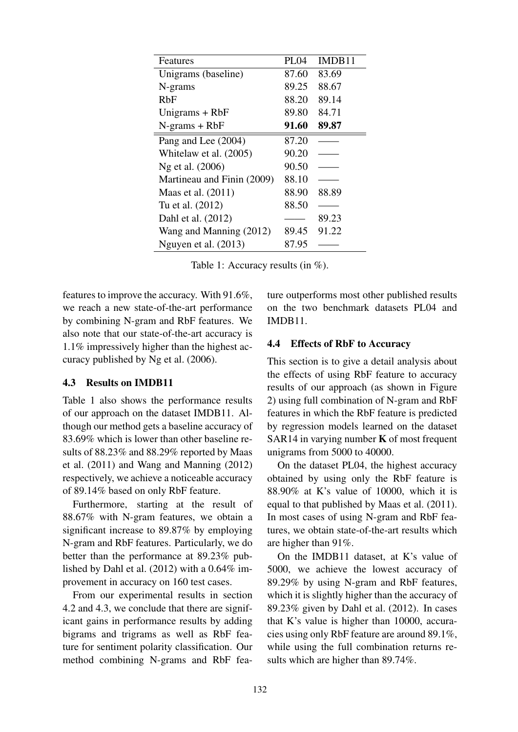| Features                   | <b>PL04</b> | IMDB11 |
|----------------------------|-------------|--------|
| Unigrams (baseline)        | 87.60       | 83.69  |
| N-grams                    | 89.25       | 88.67  |
| RbF                        | 88.20       | 89.14  |
| Unigrams $+$ RbF           | 89.80       | 84.71  |
| $N-grams + RbF$            | 91.60       | 89.87  |
| Pang and Lee (2004)        | 87.20       |        |
| Whitelaw et al. (2005)     | 90.20       |        |
| Ng et al. (2006)           | 90.50       |        |
| Martineau and Finin (2009) | 88.10       |        |
| Maas et al. $(2011)$       | 88.90       | 88.89  |
| Tu et al. (2012)           | 88.50       |        |
| Dahl et al. (2012)         |             | 89.23  |
| Wang and Manning (2012)    | 89.45       | 91.22  |
| Nguyen et al. (2013)       | 87.95       |        |

Table 1: Accuracy results (in %).

features to improve the accuracy. With 91.6%, we reach a new state-of-the-art performance by combining N-gram and RbF features. We also note that our state-of-the-art accuracy is 1.1% impressively higher than the highest accuracy published by Ng et al. (2006).

## 4.3 Results on IMDB11

Table 1 also shows the performance results of our approach on the dataset IMDB11. Although our method gets a baseline accuracy of 83.69% which is lower than other baseline results of 88.23% and 88.29% reported by Maas et al. (2011) and Wang and Manning (2012) respectively, we achieve a noticeable accuracy of 89.14% based on only RbF feature.

Furthermore, starting at the result of 88.67% with N-gram features, we obtain a significant increase to 89.87% by employing N-gram and RbF features. Particularly, we do better than the performance at 89.23% published by Dahl et al. (2012) with a 0.64% improvement in accuracy on 160 test cases.

From our experimental results in section 4.2 and 4.3, we conclude that there are significant gains in performance results by adding bigrams and trigrams as well as RbF feature for sentiment polarity classification. Our method combining N-grams and RbF feature outperforms most other published results on the two benchmark datasets PL04 and IMDB11.

# 4.4 Effects of RbF to Accuracy

This section is to give a detail analysis about the effects of using RbF feature to accuracy results of our approach (as shown in Figure 2) using full combination of N-gram and RbF features in which the RbF feature is predicted by regression models learned on the dataset SAR14 in varying number  $K$  of most frequent unigrams from 5000 to 40000.

On the dataset PL04, the highest accuracy obtained by using only the RbF feature is 88.90% at K's value of 10000, which it is equal to that published by Maas et al. (2011). In most cases of using N-gram and RbF features, we obtain state-of-the-art results which are higher than 91%.

On the IMDB11 dataset, at K's value of 5000, we achieve the lowest accuracy of 89.29% by using N-gram and RbF features, which it is slightly higher than the accuracy of 89.23% given by Dahl et al. (2012). In cases that K's value is higher than 10000, accuracies using only RbF feature are around 89.1%, while using the full combination returns results which are higher than 89.74%.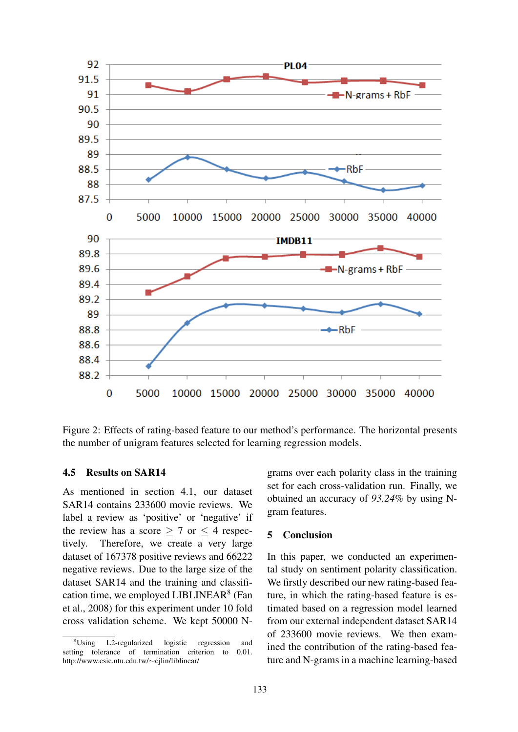

Figure 2: Effects of rating-based feature to our method's performance. The horizontal presents the number of unigram features selected for learning regression models.

## 4.5 Results on SAR14

As mentioned in section 4.1, our dataset SAR14 contains 233600 movie reviews. We label a review as 'positive' or 'negative' if the review has a score  $> 7$  or  $<$  4 respectively. Therefore, we create a very large dataset of 167378 positive reviews and 66222 negative reviews. Due to the large size of the dataset SAR14 and the training and classification time, we employed LIBLINEAR<sup>8</sup> (Fan et al., 2008) for this experiment under 10 fold cross validation scheme. We kept 50000 N-

grams over each polarity class in the training set for each cross-validation run. Finally, we obtained an accuracy of *93.24%* by using Ngram features.

### 5 Conclusion

In this paper, we conducted an experimental study on sentiment polarity classification. We firstly described our new rating-based feature, in which the rating-based feature is estimated based on a regression model learned from our external independent dataset SAR14 of 233600 movie reviews. We then examined the contribution of the rating-based feature and N-grams in a machine learning-based

<sup>&</sup>lt;sup>8</sup>Using L2-regularized logistic regression and<br>ting tolerance of termination criterion to 0.01. setting tolerance of termination criterion to http://www.csie.ntu.edu.tw/∼cjlin/liblinear/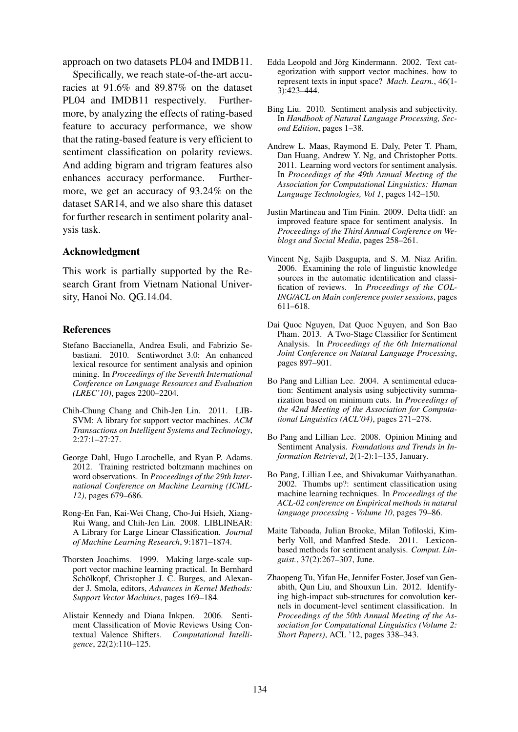approach on two datasets PL04 and IMDB11.

Specifically, we reach state-of-the-art accuracies at 91.6% and 89.87% on the dataset PL04 and IMDB11 respectively. Furthermore, by analyzing the effects of rating-based feature to accuracy performance, we show that the rating-based feature is very efficient to sentiment classification on polarity reviews. And adding bigram and trigram features also enhances accuracy performance. Furthermore, we get an accuracy of 93.24% on the dataset SAR14, and we also share this dataset for further research in sentiment polarity analysis task.

#### Acknowledgment

This work is partially supported by the Research Grant from Vietnam National University, Hanoi No. QG.14.04.

#### References

- Stefano Baccianella, Andrea Esuli, and Fabrizio Sebastiani. 2010. Sentiwordnet 3.0: An enhanced lexical resource for sentiment analysis and opinion mining. In *Proceedings of the Seventh International Conference on Language Resources and Evaluation (LREC'10)*, pages 2200–2204.
- Chih-Chung Chang and Chih-Jen Lin. 2011. LIB-SVM: A library for support vector machines. *ACM Transactions on Intelligent Systems and Technology*, 2:27:1–27:27.
- George Dahl, Hugo Larochelle, and Ryan P. Adams. 2012. Training restricted boltzmann machines on word observations. In *Proceedings of the 29th International Conference on Machine Learning (ICML-12)*, pages 679–686.
- Rong-En Fan, Kai-Wei Chang, Cho-Jui Hsieh, Xiang-Rui Wang, and Chih-Jen Lin. 2008. LIBLINEAR: A Library for Large Linear Classification. *Journal of Machine Learning Research*, 9:1871–1874.
- Thorsten Joachims. 1999. Making large-scale support vector machine learning practical. In Bernhard Schölkopf, Christopher J. C. Burges, and Alexander J. Smola, editors, *Advances in Kernel Methods: Support Vector Machines*, pages 169–184.
- Alistair Kennedy and Diana Inkpen. 2006. Sentiment Classification of Movie Reviews Using Contextual Valence Shifters. *Computational Intelligence*, 22(2):110–125.
- Edda Leopold and Jörg Kindermann. 2002. Text categorization with support vector machines. how to represent texts in input space? *Mach. Learn.*, 46(1- 3):423–444.
- Bing Liu. 2010. Sentiment analysis and subjectivity. In *Handbook of Natural Language Processing, Second Edition*, pages 1–38.
- Andrew L. Maas, Raymond E. Daly, Peter T. Pham, Dan Huang, Andrew Y. Ng, and Christopher Potts. 2011. Learning word vectors for sentiment analysis. In *Proceedings of the 49th Annual Meeting of the Association for Computational Linguistics: Human Language Technologies, Vol 1*, pages 142–150.
- Justin Martineau and Tim Finin. 2009. Delta tfidf: an improved feature space for sentiment analysis. In *Proceedings of the Third Annual Conference on Weblogs and Social Media*, pages 258–261.
- Vincent Ng, Sajib Dasgupta, and S. M. Niaz Arifin. 2006. Examining the role of linguistic knowledge sources in the automatic identification and classification of reviews. In *Proceedings of the COL-ING/ACL on Main conference poster sessions*, pages 611–618.
- Dai Quoc Nguyen, Dat Quoc Nguyen, and Son Bao Pham. 2013. A Two-Stage Classifier for Sentiment Analysis. In *Proceedings of the 6th International Joint Conference on Natural Language Processing*, pages 897–901.
- Bo Pang and Lillian Lee. 2004. A sentimental education: Sentiment analysis using subjectivity summarization based on minimum cuts. In *Proceedings of the 42nd Meeting of the Association for Computational Linguistics (ACL'04)*, pages 271–278.
- Bo Pang and Lillian Lee. 2008. Opinion Mining and Sentiment Analysis. *Foundations and Trends in Information Retrieval*, 2(1-2):1–135, January.
- Bo Pang, Lillian Lee, and Shivakumar Vaithyanathan. 2002. Thumbs up?: sentiment classification using machine learning techniques. In *Proceedings of the ACL-02 conference on Empirical methods in natural language processing - Volume 10*, pages 79–86.
- Maite Taboada, Julian Brooke, Milan Tofiloski, Kimberly Voll, and Manfred Stede. 2011. Lexiconbased methods for sentiment analysis. *Comput. Linguist.*, 37(2):267–307, June.
- Zhaopeng Tu, Yifan He, Jennifer Foster, Josef van Genabith, Qun Liu, and Shouxun Lin. 2012. Identifying high-impact sub-structures for convolution kernels in document-level sentiment classification. In *Proceedings of the 50th Annual Meeting of the Association for Computational Linguistics (Volume 2: Short Papers)*, ACL '12, pages 338–343.